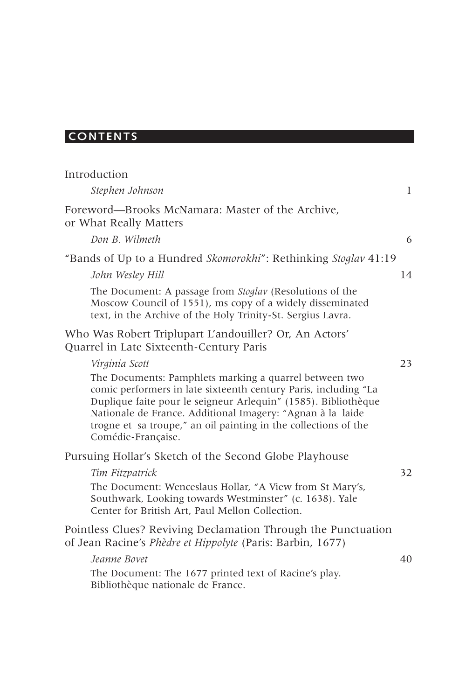# **CONTENTS**

| Introduction                                                                                                                                                                                                                                                                                                                                       |             |
|----------------------------------------------------------------------------------------------------------------------------------------------------------------------------------------------------------------------------------------------------------------------------------------------------------------------------------------------------|-------------|
| Stephen Johnson                                                                                                                                                                                                                                                                                                                                    | $\mathbf l$ |
| Foreword—Brooks McNamara: Master of the Archive,<br>or What Really Matters                                                                                                                                                                                                                                                                         |             |
| Don B. Wilmeth                                                                                                                                                                                                                                                                                                                                     | 6           |
| "Bands of Up to a Hundred Skomorokhi": Rethinking Stoglav 41:19                                                                                                                                                                                                                                                                                    |             |
| John Wesley Hill                                                                                                                                                                                                                                                                                                                                   | 14          |
| The Document: A passage from <i>Stoglav</i> (Resolutions of the<br>Moscow Council of 1551), ms copy of a widely disseminated<br>text, in the Archive of the Holy Trinity-St. Sergius Lavra.                                                                                                                                                        |             |
| Who Was Robert Triplupart L'andouiller? Or, An Actors'<br>Quarrel in Late Sixteenth-Century Paris                                                                                                                                                                                                                                                  |             |
| Virginia Scott                                                                                                                                                                                                                                                                                                                                     | 23          |
| The Documents: Pamphlets marking a quarrel between two<br>comic performers in late sixteenth century Paris, including "La<br>Duplique faite pour le seigneur Arlequin" (1585). Bibliothèque<br>Nationale de France. Additional Imagery: "Agnan à la laide<br>trogne et sa troupe," an oil painting in the collections of the<br>Comédie-Française. |             |
| Pursuing Hollar's Sketch of the Second Globe Playhouse                                                                                                                                                                                                                                                                                             |             |
| Tim Fitzpatrick                                                                                                                                                                                                                                                                                                                                    | 32          |
| The Document: Wenceslaus Hollar, "A View from St Mary's,<br>Southwark, Looking towards Westminster" (c. 1638). Yale<br>Center for British Art, Paul Mellon Collection.                                                                                                                                                                             |             |
| Pointless Clues? Reviving Declamation Through the Punctuation<br>of Jean Racine's Phèdre et Hippolyte (Paris: Barbin, 1677)                                                                                                                                                                                                                        |             |
| Jeanne Bovet                                                                                                                                                                                                                                                                                                                                       | 40          |
| The Document: The 1677 printed text of Racine's play.<br>Bibliothèque nationale de France.                                                                                                                                                                                                                                                         |             |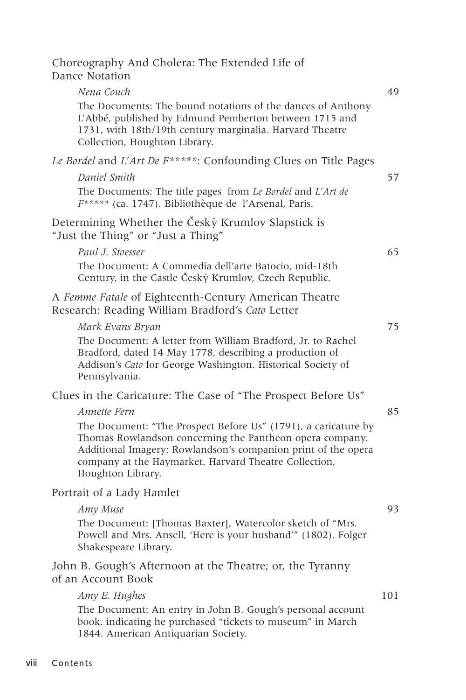| Nena Couch                                                                                                                                                                                                                                                                | 49  |
|---------------------------------------------------------------------------------------------------------------------------------------------------------------------------------------------------------------------------------------------------------------------------|-----|
| The Documents: The bound notations of the dances of Anthony<br>L'Abbé, published by Edmund Pemberton between 1715 and<br>1731, with 18th/19th century marginalia. Harvard Theatre<br>Collection, Houghton Library.                                                        |     |
| Le Bordel and L'Art De F*****: Confounding Clues on Title Pages                                                                                                                                                                                                           |     |
| Daniel Smith                                                                                                                                                                                                                                                              | 57  |
| The Documents: The title pages from Le Bordel and L'Art de<br>F***** (ca. 1747). Bibliothèque de l'Arsenal, Paris.                                                                                                                                                        |     |
| Determining Whether the Český Krumlov Slapstick is<br>"Just the Thing" or "Just a Thing"                                                                                                                                                                                  |     |
| Paul J. Stoesser                                                                                                                                                                                                                                                          | 65  |
| The Document: A Commedia dell'arte Batocio, mid-18th<br>Century, in the Castle Český Krumlov, Czech Republic.                                                                                                                                                             |     |
| A Femme Fatale of Eighteenth-Century American Theatre<br>Research: Reading William Bradford's Cato Letter                                                                                                                                                                 |     |
| Mark Evans Bryan                                                                                                                                                                                                                                                          | 75  |
| The Document: A letter from William Bradford, Jr. to Rachel<br>Bradford, dated 14 May 1778, describing a production of<br>Addison's Cato for George Washington. Historical Society of<br>Pennsylvania.                                                                    |     |
| Clues in the Caricature: The Case of "The Prospect Before Us"                                                                                                                                                                                                             |     |
| Annette Fern                                                                                                                                                                                                                                                              | 85  |
| The Document: "The Prospect Before Us" (1791), a caricature by<br>Thomas Rowlandson concerning the Pantheon opera company.<br>Additional Imagery: Rowlandson's companion print of the opera<br>company at the Haymarket. Harvard Theatre Collection,<br>Houghton Library. |     |
| Portrait of a Lady Hamlet                                                                                                                                                                                                                                                 |     |
| Amy Muse                                                                                                                                                                                                                                                                  | 93  |
| The Document: [Thomas Baxter], Watercolor sketch of "Mrs.<br>Powell and Mrs. Ansell, 'Here is your husband'" (1802). Folger<br>Shakespeare Library.                                                                                                                       |     |
| John B. Gough's Afternoon at the Theatre; or, the Tyranny<br>of an Account Book                                                                                                                                                                                           |     |
| Amy E. Hughes                                                                                                                                                                                                                                                             | 101 |
| The Document: An entry in John B. Gough's personal account<br>book, indicating he purchased "tickets to museum" in March<br>1844. American Antiquarian Society.                                                                                                           |     |
|                                                                                                                                                                                                                                                                           |     |

Choreography And Cholera: The Extended Life of

Dance Notation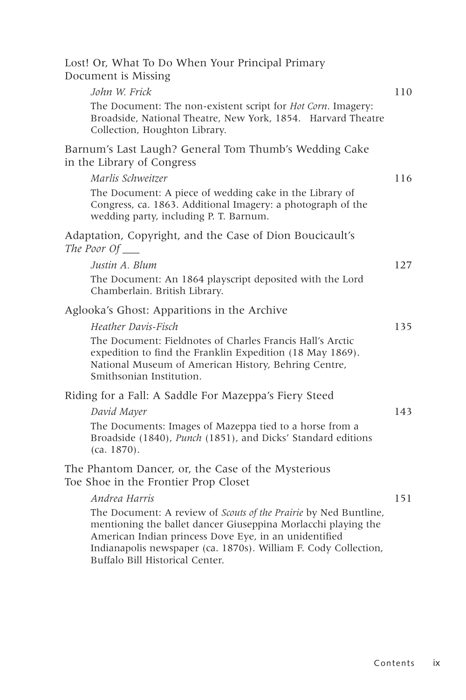|  |                     |  |  | Lost! Or, What To Do When Your Principal Primary |  |
|--|---------------------|--|--|--------------------------------------------------|--|
|  | Document is Missing |  |  |                                                  |  |

| John W. Frick                                                                                                                                                                                                                                                 | 110 |
|---------------------------------------------------------------------------------------------------------------------------------------------------------------------------------------------------------------------------------------------------------------|-----|
| The Document: The non-existent script for <i>Hot Corn</i> . Imagery:<br>Broadside, National Theatre, New York, 1854. Harvard Theatre<br>Collection, Houghton Library.                                                                                         |     |
| Barnum's Last Laugh? General Tom Thumb's Wedding Cake<br>in the Library of Congress                                                                                                                                                                           |     |
| Marlis Schweitzer                                                                                                                                                                                                                                             | 116 |
| The Document: A piece of wedding cake in the Library of<br>Congress, ca. 1863. Additional Imagery: a photograph of the<br>wedding party, including P. T. Barnum.                                                                                              |     |
| Adaptation, Copyright, and the Case of Dion Boucicault's<br>The Poor $Of$                                                                                                                                                                                     |     |
| Justin A. Blum                                                                                                                                                                                                                                                | 127 |
| The Document: An 1864 playscript deposited with the Lord<br>Chamberlain. British Library.                                                                                                                                                                     |     |
| Aglooka's Ghost: Apparitions in the Archive                                                                                                                                                                                                                   |     |
| Heather Davis-Fisch<br>The Document: Fieldnotes of Charles Francis Hall's Arctic<br>expedition to find the Franklin Expedition (18 May 1869).<br>National Museum of American History, Behring Centre,<br>Smithsonian Institution.                             | 135 |
| Riding for a Fall: A Saddle For Mazeppa's Fiery Steed                                                                                                                                                                                                         |     |
| David Mayer                                                                                                                                                                                                                                                   | 143 |
| The Documents: Images of Mazeppa tied to a horse from a<br>Broadside (1840), Punch (1851), and Dicks' Standard editions<br>(ca. 1870).                                                                                                                        |     |
| The Phantom Dancer, or, the Case of the Mysterious<br>Toe Shoe in the Frontier Prop Closet                                                                                                                                                                    |     |
| Andrea Harris                                                                                                                                                                                                                                                 | 151 |
| The Document: A review of Scouts of the Prairie by Ned Buntline,<br>mentioning the ballet dancer Giuseppina Morlacchi playing the<br>American Indian princess Dove Eye, in an unidentified<br>Indianapolis newspaper (ca. 1870s). William F. Cody Collection, |     |

Buffalo Bill Historical Center.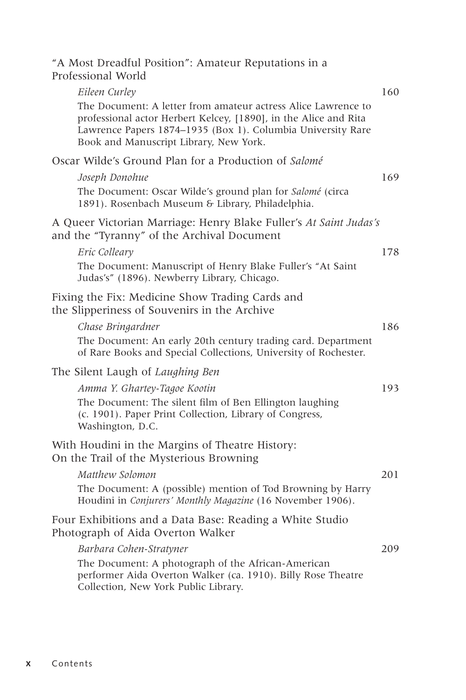"A Most Dreadful Position": Amateur Reputations in a Professional World

| Eileen Curley                                                                                                                                                                                                                              | 160 |
|--------------------------------------------------------------------------------------------------------------------------------------------------------------------------------------------------------------------------------------------|-----|
| The Document: A letter from amateur actress Alice Lawrence to<br>professional actor Herbert Kelcey, [1890], in the Alice and Rita<br>Lawrence Papers 1874-1935 (Box 1). Columbia University Rare<br>Book and Manuscript Library, New York. |     |
| Oscar Wilde's Ground Plan for a Production of Salomé                                                                                                                                                                                       |     |
| Joseph Donohue<br>The Document: Oscar Wilde's ground plan for Salomé (circa<br>1891). Rosenbach Museum & Library, Philadelphia.                                                                                                            | 169 |
| A Queer Victorian Marriage: Henry Blake Fuller's At Saint Judas's<br>and the "Tyranny" of the Archival Document                                                                                                                            |     |
| Eric Colleary<br>The Document: Manuscript of Henry Blake Fuller's "At Saint<br>Judas's" (1896). Newberry Library, Chicago.                                                                                                                 | 178 |
| Fixing the Fix: Medicine Show Trading Cards and<br>the Slipperiness of Souvenirs in the Archive                                                                                                                                            |     |
| Chase Bringardner<br>The Document: An early 20th century trading card. Department<br>of Rare Books and Special Collections, University of Rochester.                                                                                       | 186 |
| The Silent Laugh of Laughing Ben                                                                                                                                                                                                           |     |
| Amma Y. Ghartey-Tagoe Kootin<br>The Document: The silent film of Ben Ellington laughing<br>(c. 1901). Paper Print Collection, Library of Congress,<br>Washington, D.C.                                                                     | 193 |
| With Houdini in the Margins of Theatre History:<br>On the Trail of the Mysterious Browning                                                                                                                                                 |     |
| Matthew Solomon<br>The Document: A (possible) mention of Tod Browning by Harry<br>Houdini in Conjurers' Monthly Magazine (16 November 1906).                                                                                               | 201 |
| Four Exhibitions and a Data Base: Reading a White Studio<br>Photograph of Aida Overton Walker                                                                                                                                              |     |
| Barbara Cohen-Stratyner<br>The Document: A photograph of the African-American<br>performer Aida Overton Walker (ca. 1910). Billy Rose Theatre<br>Collection, New York Public Library.                                                      | 209 |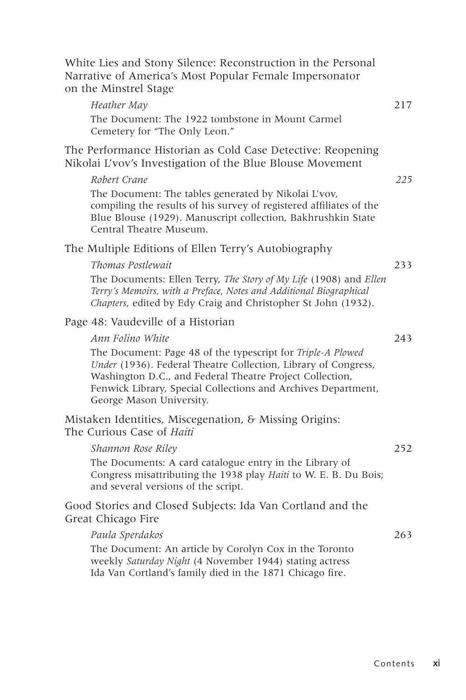| White Lies and Stony Silence: Reconstruction in the Personal<br>Narrative of America's Most Popular Female Impersonator<br>on the Minstrel Stage                                                                                                                                       |     |
|----------------------------------------------------------------------------------------------------------------------------------------------------------------------------------------------------------------------------------------------------------------------------------------|-----|
| Heather May                                                                                                                                                                                                                                                                            | 217 |
| The Document: The 1922 tombstone in Mount Carmel<br>Cemetery for "The Only Leon."                                                                                                                                                                                                      |     |
| The Performance Historian as Cold Case Detective: Reopening<br>Nikolai L'vov's Investigation of the Blue Blouse Movement                                                                                                                                                               |     |
| Robert Crane                                                                                                                                                                                                                                                                           | 225 |
| The Document: The tables generated by Nikolai L'vov,<br>compiling the results of his survey of registered affiliates of the<br>Blue Blouse (1929). Manuscript collection, Bakhrushkin State<br>Central Theatre Museum.                                                                 |     |
| The Multiple Editions of Ellen Terry's Autobiography                                                                                                                                                                                                                                   |     |
| Thomas Postlewait                                                                                                                                                                                                                                                                      | 233 |
| The Documents: Ellen Terry, The Story of My Life (1908) and Ellen<br>Terry's Memoirs, with a Preface, Notes and Additional Biographical<br>Chapters, edited by Edy Craig and Christopher St John (1932).                                                                               |     |
| Page 48: Vaudeville of a Historian                                                                                                                                                                                                                                                     |     |
| Ann Folino White                                                                                                                                                                                                                                                                       | 243 |
| The Document: Page 48 of the typescript for Triple-A Plowed<br>Under (1936). Federal Theatre Collection, Library of Congress,<br>Washington D.C., and Federal Theatre Project Collection,<br>Fenwick Library, Special Collections and Archives Department,<br>George Mason University. |     |
| Mistaken Identities, Miscegenation, & Missing Origins:<br>The Curious Case of Haiti                                                                                                                                                                                                    |     |
| Shannon Rose Riley                                                                                                                                                                                                                                                                     | 252 |
| The Documents: A card catalogue entry in the Library of<br>Congress misattributing the 1938 play Haiti to W. E. B. Du Bois;<br>and several versions of the script.                                                                                                                     |     |
| Good Stories and Closed Subjects: Ida Van Cortland and the<br>Great Chicago Fire                                                                                                                                                                                                       |     |
| Paula Sperdakos                                                                                                                                                                                                                                                                        | 263 |
| The Document: An article by Corolyn Cox in the Toronto<br>weekly Saturday Night (4 November 1944) stating actress<br>Ida Van Cortland's family died in the 1871 Chicago fire.                                                                                                          |     |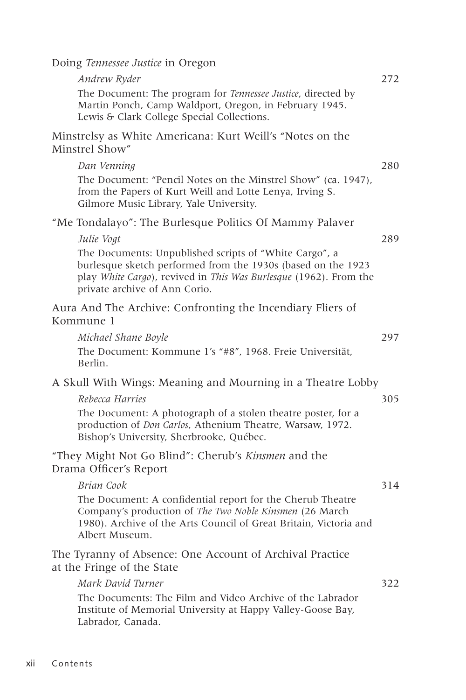Doing *Tennessee Justice* in Oregon

| Andrew Ryder                                                                                                                                                                                                                 | 272 |
|------------------------------------------------------------------------------------------------------------------------------------------------------------------------------------------------------------------------------|-----|
| The Document: The program for Tennessee Justice, directed by<br>Martin Ponch, Camp Waldport, Oregon, in February 1945.<br>Lewis & Clark College Special Collections.                                                         |     |
| Minstrelsy as White Americana: Kurt Weill's "Notes on the<br>Minstrel Show"                                                                                                                                                  |     |
| Dan Venning                                                                                                                                                                                                                  | 280 |
| The Document: "Pencil Notes on the Minstrel Show" (ca. 1947),<br>from the Papers of Kurt Weill and Lotte Lenya, Irving S.<br>Gilmore Music Library, Yale University.                                                         |     |
| "Me Tondalayo": The Burlesque Politics Of Mammy Palaver                                                                                                                                                                      |     |
| Julie Vogt                                                                                                                                                                                                                   | 289 |
| The Documents: Unpublished scripts of "White Cargo", a<br>burlesque sketch performed from the 1930s (based on the 1923<br>play White Cargo), revived in This Was Burlesque (1962). From the<br>private archive of Ann Corio. |     |
| Aura And The Archive: Confronting the Incendiary Fliers of<br>Kommune 1                                                                                                                                                      |     |
| Michael Shane Boyle                                                                                                                                                                                                          | 297 |
| The Document: Kommune 1's "#8", 1968. Freie Universität,<br>Berlin.                                                                                                                                                          |     |
| A Skull With Wings: Meaning and Mourning in a Theatre Lobby                                                                                                                                                                  |     |
| Rebecca Harries                                                                                                                                                                                                              | 305 |
| The Document: A photograph of a stolen theatre poster, for a<br>production of Don Carlos, Athenium Theatre, Warsaw, 1972.<br>Bishop's University, Sherbrooke, Québec.                                                        |     |
| "They Might Not Go Blind": Cherub's Kinsmen and the<br>Drama Officer's Report                                                                                                                                                |     |
| Brian Cook                                                                                                                                                                                                                   | 314 |
| The Document: A confidential report for the Cherub Theatre<br>Company's production of The Two Noble Kinsmen (26 March<br>1980). Archive of the Arts Council of Great Britain, Victoria and<br>Albert Museum.                 |     |
| The Tyranny of Absence: One Account of Archival Practice<br>at the Fringe of the State                                                                                                                                       |     |
| Mark David Turner                                                                                                                                                                                                            | 322 |
| The Documents: The Film and Video Archive of the Labrador<br>Institute of Memorial University at Happy Valley-Goose Bay,<br>Labrador, Canada.                                                                                |     |